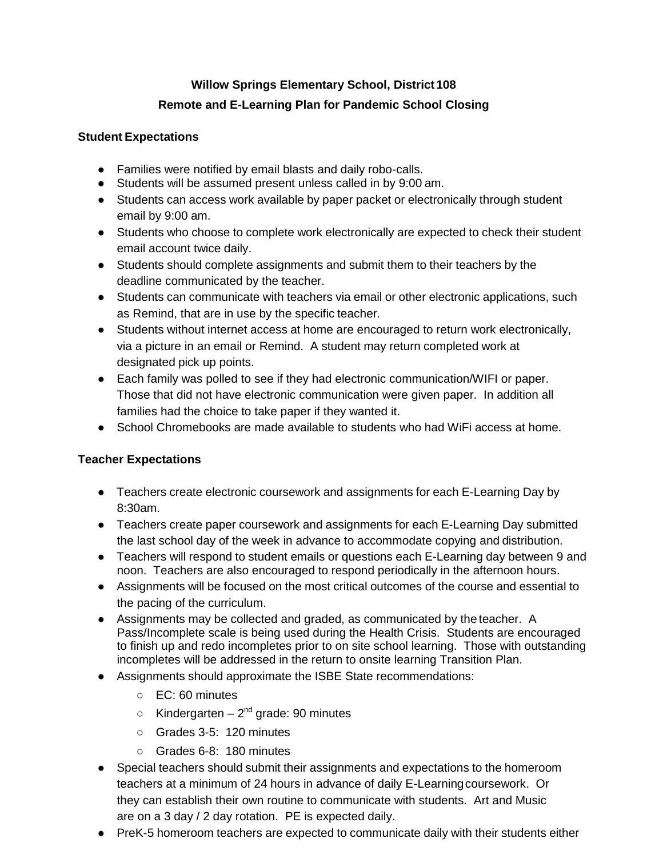# **Willow Springs Elementary School, District108 Remote and E-Learning Plan for Pandemic School Closing**

## **Student Expectations**

- Families were notified by email blasts and daily robo-calls.
- Students will be assumed present unless called in by 9:00 am.
- Students can access work available by paper packet or electronically through student email by 9:00 am.
- Students who choose to complete work electronically are expected to check their student email account twice daily.
- Students should complete assignments and submit them to their teachers by the deadline communicated by the teacher.
- Students can communicate with teachers via email or other electronic applications, such as Remind, that are in use by the specific teacher.
- Students without internet access at home are encouraged to return work electronically, via a picture in an email or Remind. A student may return completed work at designated pick up points.
- Each family was polled to see if they had electronic communication/WIFI or paper. Those that did not have electronic communication were given paper. In addition all families had the choice to take paper if they wanted it.
- School Chromebooks are made available to students who had WiFi access at home.

## **Teacher Expectations**

- Teachers create electronic coursework and assignments for each E-Learning Day by 8:30am.
- Teachers create paper coursework and assignments for each E-Learning Day submitted the last school day of the week in advance to accommodate copying and distribution.
- Teachers will respond to student emails or questions each E-Learning day between 9 and noon. Teachers are also encouraged to respond periodically in the afternoon hours.
- Assignments will be focused on the most critical outcomes of the course and essential to the pacing of the curriculum.
- Assignments may be collected and graded, as communicated by the teacher. A Pass/Incomplete scale is being used during the Health Crisis. Students are encouraged to finish up and redo incompletes prior to on site school learning. Those with outstanding incompletes will be addressed in the return to onsite learning Transition Plan.
- Assignments should approximate the ISBE State recommendations:
	- EC: 60 minutes
	- $\circ$  Kindergarten 2<sup>nd</sup> grade: 90 minutes
	- Grades 3-5: 120 minutes
	- Grades 6-8: 180 minutes
- Special teachers should submit their assignments and expectations to the homeroom teachers at a minimum of 24 hours in advance of daily E-Learningcoursework. Or they can establish their own routine to communicate with students. Art and Music are on a 3 day / 2 day rotation. PE is expected daily.
- PreK-5 homeroom teachers are expected to communicate daily with their students either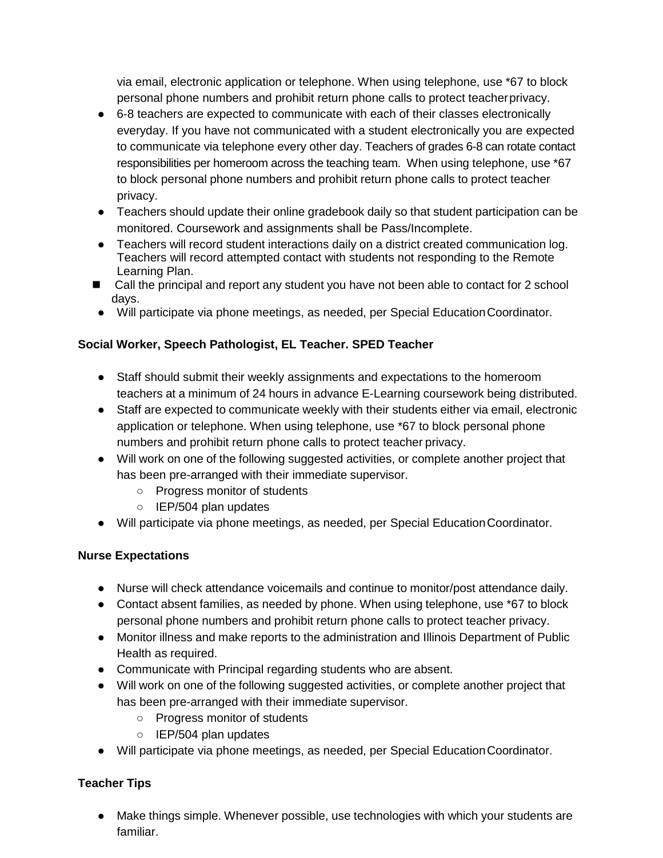via email, electronic application or telephone. When using telephone, use \*67 to block personal phone numbers and prohibit return phone calls to protect teacherprivacy.

- 6-8 teachers are expected to communicate with each of their classes electronically everyday. If you have not communicated with a student electronically you are expected to communicate via telephone every other day. Teachers of grades 6-8 can rotate contact responsibilities per homeroom across the teaching team. When using telephone, use \*67 to block personal phone numbers and prohibit return phone calls to protect teacher privacy.
- Teachers should update their online gradebook daily so that student participation can be monitored. Coursework and assignments shall be Pass/Incomplete.
- Teachers will record student interactions daily on a district created communication log. Teachers will record attempted contact with students not responding to the Remote Learning Plan.
- Call the principal and report any student you have not been able to contact for 2 school days.
- Will participate via phone meetings, as needed, per Special EducationCoordinator.

## **Social Worker, Speech Pathologist, EL Teacher. SPED Teacher**

- Staff should submit their weekly assignments and expectations to the homeroom teachers at a minimum of 24 hours in advance E-Learning coursework being distributed.
- Staff are expected to communicate weekly with their students either via email, electronic application or telephone. When using telephone, use \*67 to block personal phone numbers and prohibit return phone calls to protect teacher privacy.
- Will work on one of the following suggested activities, or complete another project that has been pre-arranged with their immediate supervisor.
	- Progress monitor of students
	- IEP/504 plan updates
- Will participate via phone meetings, as needed, per Special EducationCoordinator.

## **Nurse Expectations**

- Nurse will check attendance voicemails and continue to monitor/post attendance daily.
- Contact absent families, as needed by phone. When using telephone, use \*67 to block personal phone numbers and prohibit return phone calls to protect teacher privacy.
- Monitor illness and make reports to the administration and Illinois Department of Public Health as required.
- Communicate with Principal regarding students who are absent.
- Will work on one of the following suggested activities, or complete another project that has been pre-arranged with their immediate supervisor.
	- Progress monitor of students
	- IEP/504 plan updates
- Will participate via phone meetings, as needed, per Special EducationCoordinator.

## **Teacher Tips**

● Make things simple. Whenever possible, use technologies with which your students are familiar.